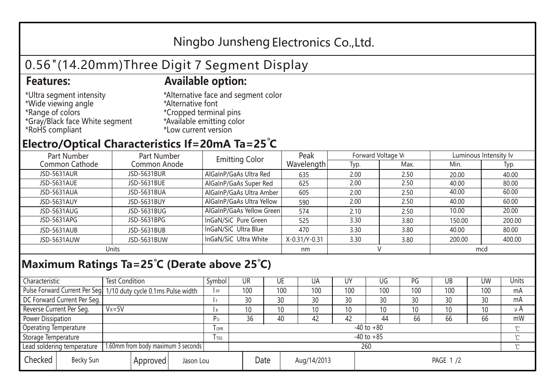## Ningbo Junsheng Electronics Co.,Ltd.

# 0.56"(14.20mm)Three Digit 7 Segment Display

### **Features: Available option:**

- \*Ultra segment intensity \*Wide viewing angle \*Range of colors \*Gray/Black face White segment \*RoHS compliant
- \*Alternative face and segment color \*Alternative font \*Cropped terminal pins \*Available emitting color \*Low current version

### **Electro/Optical Characteristics If=20mA Ta=25 C**

| Part Number        | Part Number        | <b>Emitting Color</b>     | Peak          | Forward Voltage VF |      | Luminous Intensity lv |        |  |
|--------------------|--------------------|---------------------------|---------------|--------------------|------|-----------------------|--------|--|
| Common Cathode     | Common Anode       |                           | Wavelength    | Typ.               | Max. | Min.                  | Typ.   |  |
| <b>JSD-5631AUR</b> | <b>JSD-5631BUR</b> | AlGaInP/GaAs Ultra Red    | 635           | 2.00               | 2.50 | 20.00                 | 40.00  |  |
| JSD-5631AUE        | JSD-5631BUE        | AlGaInP/GaAs Super Red    | 625           | 2.00               | 2.50 | 40.00                 | 80.00  |  |
| JSD-5631AUA        | JSD-5631BUA        | AlGaInP/GaAs Ultra Amber  | 605           | 2.00               | 2.50 | 40.00                 | 60.00  |  |
| JSD-5631AUY        | JSD-5631BUY        | AlGaInP/GaAs Ultra Yellow | 590           | 2.00               | 2.50 | 40.00                 | 60.00  |  |
| JSD-5631AUG        | JSD-5631BUG        | AlGaInP/GaAs Yellow Green | 574           | 2.10               | 2.50 | 10.00                 | 20.00  |  |
| JSD-5631APG        | JSD-5631BPG        | InGaN/SiC Pure Green      | 525           | 3.30               | 3.80 | 150.00                | 200.00 |  |
| JSD-5631AUB        | JSD-5631BUB        | InGaN/SiC Ultra Blue      | 470           | 3.30               | 3.80 | 40.00                 | 80.00  |  |
| JSD-5631AUW        | JSD-5631BUW        | InGaN/SiC Ultra White     | X-0.31/Y-0.31 | 3.30               | 3.80 | 200.00                | 400.00 |  |
| Units              |                    |                           | nm            |                    |      | mcd                   |        |  |

### **Maximum Ratings Ta=25°C (Derate above 25°C)**

| Characteristic                                |            | <b>Test Condition</b><br>Symbol                                  |                |                     | UR              |  | UE  | UA       | UY  | UG  | PG  | UB              | <b>UW</b> | <b>Units</b> |
|-----------------------------------------------|------------|------------------------------------------------------------------|----------------|---------------------|-----------------|--|-----|----------|-----|-----|-----|-----------------|-----------|--------------|
|                                               |            | Pulse Forward Current Per Seg. 1/10 duty cycle 0.1ms Pulse width |                |                     | 100             |  | 100 | 100      | 100 | 100 | 100 | 100             | 100       | mA           |
| DC Forward Current Per Seg.                   |            |                                                                  |                |                     | 30              |  | 30  | 30       | 30  | 30  | 30  | 30              | 30        | mA           |
| Reverse Current Per Seg.                      | $V_R = 5V$ |                                                                  |                | I R                 | 10 <sup>°</sup> |  | 10  | 10       | 10  | 10  | 10  | 10 <sup>°</sup> | 10        | $\mu$ A      |
| <b>Power Dissipation</b>                      |            |                                                                  |                |                     | 36              |  | 40  | 42       | 42  | 44  | 66  | 66              | 66        | mW           |
| <b>Operating Temperature</b>                  |            |                                                                  | <b>OPR</b>     | $-40$ to $+80$      |                 |  |     |          |     |     |     |                 | $\sim$    |              |
| Storage Temperature                           |            | <b>I</b> TSG                                                     | $-40$ to $+85$ |                     |                 |  |     |          |     |     |     | $\sim$          |           |              |
| Lead soldering temperature                    |            | 1.60mm from body maximum 3 seconds                               |                |                     | 260<br>$\gamma$ |  |     |          |     |     |     |                 |           |              |
| Checked<br>Becky Sun<br>Approved<br>Jason Lou |            |                                                                  |                | Date<br>Aug/14/2013 |                 |  |     | PAGE 1/2 |     |     |     |                 |           |              |